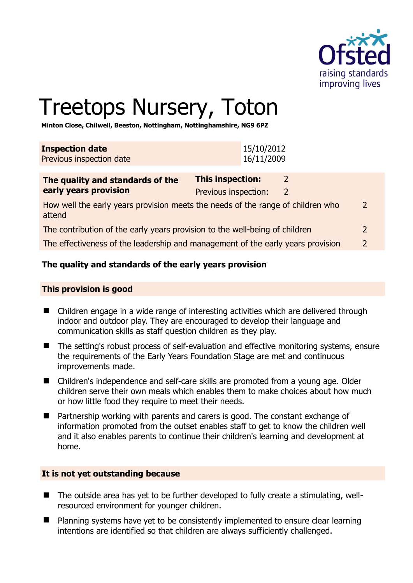

# Treetops Nursery, Toton

**Minton Close, Chilwell, Beeston, Nottingham, Nottinghamshire, NG9 6PZ** 

| 15/10/2012<br>16/11/2009 |
|--------------------------|
|                          |
|                          |

| The quality and standards of the                                                          | <b>This inspection:</b> |               |
|-------------------------------------------------------------------------------------------|-------------------------|---------------|
| early years provision                                                                     | Previous inspection:    |               |
| How well the early years provision meets the needs of the range of children who<br>attend |                         | 2             |
| The contribution of the early years provision to the well-being of children               |                         | 2             |
| The effectiveness of the leadership and management of the early years provision           |                         | $\mathcal{L}$ |

# **The quality and standards of the early years provision**

## **This provision is good**

- Children engage in a wide range of interesting activities which are delivered through indoor and outdoor play. They are encouraged to develop their language and communication skills as staff question children as they play.
- The setting's robust process of self-evaluation and effective monitoring systems, ensure the requirements of the Early Years Foundation Stage are met and continuous improvements made.
- Children's independence and self-care skills are promoted from a young age. Older children serve their own meals which enables them to make choices about how much or how little food they require to meet their needs.
- Partnership working with parents and carers is good. The constant exchange of information promoted from the outset enables staff to get to know the children well and it also enables parents to continue their children's learning and development at home.

## **It is not yet outstanding because**

- The outside area has yet to be further developed to fully create a stimulating, wellresourced environment for younger children.
- Planning systems have yet to be consistently implemented to ensure clear learning intentions are identified so that children are always sufficiently challenged.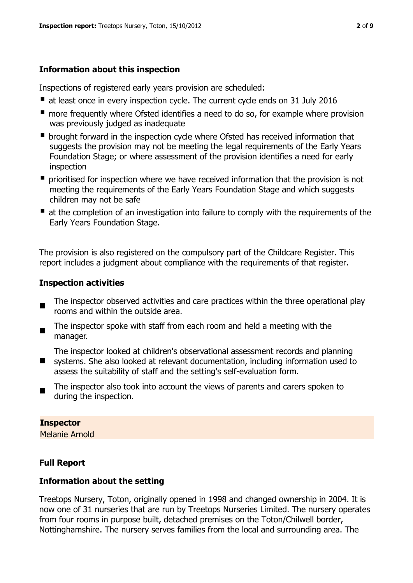## **Information about this inspection**

Inspections of registered early years provision are scheduled:

- at least once in every inspection cycle. The current cycle ends on 31 July 2016
- **n** more frequently where Ofsted identifies a need to do so, for example where provision was previously judged as inadequate
- **•** brought forward in the inspection cycle where Ofsted has received information that suggests the provision may not be meeting the legal requirements of the Early Years Foundation Stage; or where assessment of the provision identifies a need for early inspection
- **P** prioritised for inspection where we have received information that the provision is not meeting the requirements of the Early Years Foundation Stage and which suggests children may not be safe
- at the completion of an investigation into failure to comply with the requirements of the Early Years Foundation Stage.

The provision is also registered on the compulsory part of the Childcare Register. This report includes a judgment about compliance with the requirements of that register.

## **Inspection activities**

- $\blacksquare$ The inspector observed activities and care practices within the three operational play rooms and within the outside area.
- $\blacksquare$ The inspector spoke with staff from each room and held a meeting with the manager.

The inspector looked at children's observational assessment records and planning

- $\blacksquare$ systems. She also looked at relevant documentation, including information used to assess the suitability of staff and the setting's self-evaluation form.
- The inspector also took into account the views of parents and carers spoken to during the inspection.

## **Inspector**

Melanie Arnold

## **Full Report**

## **Information about the setting**

Treetops Nursery, Toton, originally opened in 1998 and changed ownership in 2004. It is now one of 31 nurseries that are run by Treetops Nurseries Limited. The nursery operates from four rooms in purpose built, detached premises on the Toton/Chilwell border, Nottinghamshire. The nursery serves families from the local and surrounding area. The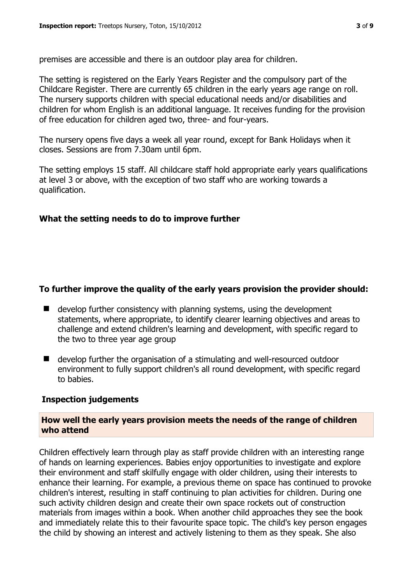premises are accessible and there is an outdoor play area for children.

The setting is registered on the Early Years Register and the compulsory part of the Childcare Register. There are currently 65 children in the early years age range on roll. The nursery supports children with special educational needs and/or disabilities and children for whom English is an additional language. It receives funding for the provision of free education for children aged two, three- and four-years.

The nursery opens five days a week all year round, except for Bank Holidays when it closes. Sessions are from 7.30am until 6pm.

The setting employs 15 staff. All childcare staff hold appropriate early years qualifications at level 3 or above, with the exception of two staff who are working towards a qualification.

## **What the setting needs to do to improve further**

## **To further improve the quality of the early years provision the provider should:**

- develop further consistency with planning systems, using the development statements, where appropriate, to identify clearer learning objectives and areas to challenge and extend children's learning and development, with specific regard to the two to three year age group
- develop further the organisation of a stimulating and well-resourced outdoor environment to fully support children's all round development, with specific regard to babies.

## **Inspection judgements**

## **How well the early years provision meets the needs of the range of children who attend**

Children effectively learn through play as staff provide children with an interesting range of hands on learning experiences. Babies enjoy opportunities to investigate and explore their environment and staff skilfully engage with older children, using their interests to enhance their learning. For example, a previous theme on space has continued to provoke children's interest, resulting in staff continuing to plan activities for children. During one such activity children design and create their own space rockets out of construction materials from images within a book. When another child approaches they see the book and immediately relate this to their favourite space topic. The child's key person engages the child by showing an interest and actively listening to them as they speak. She also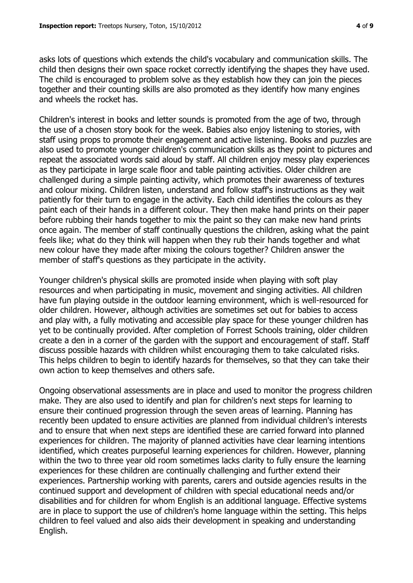asks lots of questions which extends the child's vocabulary and communication skills. The child then designs their own space rocket correctly identifying the shapes they have used. The child is encouraged to problem solve as they establish how they can join the pieces together and their counting skills are also promoted as they identify how many engines and wheels the rocket has.

Children's interest in books and letter sounds is promoted from the age of two, through the use of a chosen story book for the week. Babies also enjoy listening to stories, with staff using props to promote their engagement and active listening. Books and puzzles are also used to promote younger children's communication skills as they point to pictures and repeat the associated words said aloud by staff. All children enjoy messy play experiences as they participate in large scale floor and table painting activities. Older children are challenged during a simple painting activity, which promotes their awareness of textures and colour mixing. Children listen, understand and follow staff's instructions as they wait patiently for their turn to engage in the activity. Each child identifies the colours as they paint each of their hands in a different colour. They then make hand prints on their paper before rubbing their hands together to mix the paint so they can make new hand prints once again. The member of staff continually questions the children, asking what the paint feels like; what do they think will happen when they rub their hands together and what new colour have they made after mixing the colours together? Children answer the member of staff's questions as they participate in the activity.

Younger children's physical skills are promoted inside when playing with soft play resources and when participating in music, movement and singing activities. All children have fun playing outside in the outdoor learning environment, which is well-resourced for older children. However, although activities are sometimes set out for babies to access and play with, a fully motivating and accessible play space for these younger children has yet to be continually provided. After completion of Forrest Schools training, older children create a den in a corner of the garden with the support and encouragement of staff. Staff discuss possible hazards with children whilst encouraging them to take calculated risks. This helps children to begin to identify hazards for themselves, so that they can take their own action to keep themselves and others safe.

Ongoing observational assessments are in place and used to monitor the progress children make. They are also used to identify and plan for children's next steps for learning to ensure their continued progression through the seven areas of learning. Planning has recently been updated to ensure activities are planned from individual children's interests and to ensure that when next steps are identified these are carried forward into planned experiences for children. The majority of planned activities have clear learning intentions identified, which creates purposeful learning experiences for children. However, planning within the two to three year old room sometimes lacks clarity to fully ensure the learning experiences for these children are continually challenging and further extend their experiences. Partnership working with parents, carers and outside agencies results in the continued support and development of children with special educational needs and/or disabilities and for children for whom English is an additional language. Effective systems are in place to support the use of children's home language within the setting. This helps children to feel valued and also aids their development in speaking and understanding English.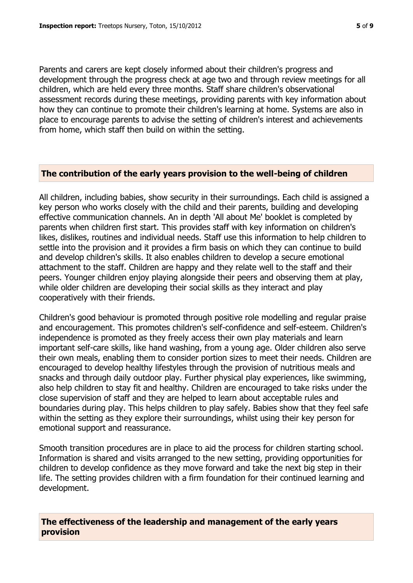Parents and carers are kept closely informed about their children's progress and development through the progress check at age two and through review meetings for all children, which are held every three months. Staff share children's observational assessment records during these meetings, providing parents with key information about how they can continue to promote their children's learning at home. Systems are also in place to encourage parents to advise the setting of children's interest and achievements from home, which staff then build on within the setting.

## **The contribution of the early years provision to the well-being of children**

All children, including babies, show security in their surroundings. Each child is assigned a key person who works closely with the child and their parents, building and developing effective communication channels. An in depth 'All about Me' booklet is completed by parents when children first start. This provides staff with key information on children's likes, dislikes, routines and individual needs. Staff use this information to help children to settle into the provision and it provides a firm basis on which they can continue to build and develop children's skills. It also enables children to develop a secure emotional attachment to the staff. Children are happy and they relate well to the staff and their peers. Younger children enjoy playing alongside their peers and observing them at play, while older children are developing their social skills as they interact and play cooperatively with their friends.

Children's good behaviour is promoted through positive role modelling and regular praise and encouragement. This promotes children's self-confidence and self-esteem. Children's independence is promoted as they freely access their own play materials and learn important self-care skills, like hand washing, from a young age. Older children also serve their own meals, enabling them to consider portion sizes to meet their needs. Children are encouraged to develop healthy lifestyles through the provision of nutritious meals and snacks and through daily outdoor play. Further physical play experiences, like swimming, also help children to stay fit and healthy. Children are encouraged to take risks under the close supervision of staff and they are helped to learn about acceptable rules and boundaries during play. This helps children to play safely. Babies show that they feel safe within the setting as they explore their surroundings, whilst using their key person for emotional support and reassurance.

Smooth transition procedures are in place to aid the process for children starting school. Information is shared and visits arranged to the new setting, providing opportunities for children to develop confidence as they move forward and take the next big step in their life. The setting provides children with a firm foundation for their continued learning and development.

**The effectiveness of the leadership and management of the early years provision**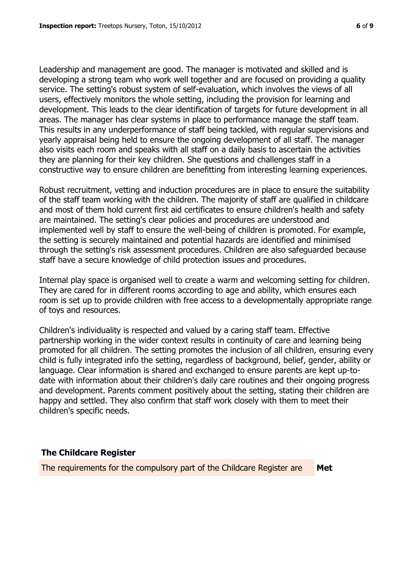Leadership and management are good. The manager is motivated and skilled and is developing a strong team who work well together and are focused on providing a quality service. The setting's robust system of self-evaluation, which involves the views of all users, effectively monitors the whole setting, including the provision for learning and development. This leads to the clear identification of targets for future development in all areas. The manager has clear systems in place to performance manage the staff team. This results in any underperformance of staff being tackled, with regular supervisions and yearly appraisal being held to ensure the ongoing development of all staff. The manager also visits each room and speaks with all staff on a daily basis to ascertain the activities they are planning for their key children. She questions and challenges staff in a constructive way to ensure children are benefitting from interesting learning experiences.

Robust recruitment, vetting and induction procedures are in place to ensure the suitability of the staff team working with the children. The majority of staff are qualified in childcare and most of them hold current first aid certificates to ensure children's health and safety are maintained. The setting's clear policies and procedures are understood and implemented well by staff to ensure the well-being of children is promoted. For example, the setting is securely maintained and potential hazards are identified and minimised through the setting's risk assessment procedures. Children are also safeguarded because staff have a secure knowledge of child protection issues and procedures.

Internal play space is organised well to create a warm and welcoming setting for children. They are cared for in different rooms according to age and ability, which ensures each room is set up to provide children with free access to a developmentally appropriate range of toys and resources.

Children's individuality is respected and valued by a caring staff team. Effective partnership working in the wider context results in continuity of care and learning being promoted for all children. The setting promotes the inclusion of all children, ensuring every child is fully integrated info the setting, regardless of background, belief, gender, ability or language. Clear information is shared and exchanged to ensure parents are kept up-todate with information about their children's daily care routines and their ongoing progress and development. Parents comment positively about the setting, stating their children are happy and settled. They also confirm that staff work closely with them to meet their children's specific needs.

## **The Childcare Register**

The requirements for the compulsory part of the Childcare Register are **Met**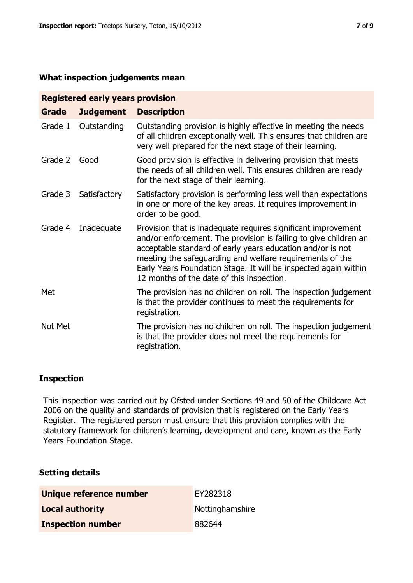#### **What inspection judgements mean**

| <b>Registered early years provision</b> |                  |                                                                                                                                                                                                                                                                                                                                                                             |  |  |  |  |
|-----------------------------------------|------------------|-----------------------------------------------------------------------------------------------------------------------------------------------------------------------------------------------------------------------------------------------------------------------------------------------------------------------------------------------------------------------------|--|--|--|--|
| <b>Grade</b>                            | <b>Judgement</b> | <b>Description</b>                                                                                                                                                                                                                                                                                                                                                          |  |  |  |  |
| Grade 1                                 | Outstanding      | Outstanding provision is highly effective in meeting the needs<br>of all children exceptionally well. This ensures that children are<br>very well prepared for the next stage of their learning.                                                                                                                                                                            |  |  |  |  |
| Grade 2                                 | Good             | Good provision is effective in delivering provision that meets<br>the needs of all children well. This ensures children are ready<br>for the next stage of their learning.                                                                                                                                                                                                  |  |  |  |  |
| Grade 3                                 | Satisfactory     | Satisfactory provision is performing less well than expectations<br>in one or more of the key areas. It requires improvement in<br>order to be good.                                                                                                                                                                                                                        |  |  |  |  |
| Grade 4                                 | Inadequate       | Provision that is inadequate requires significant improvement<br>and/or enforcement. The provision is failing to give children an<br>acceptable standard of early years education and/or is not<br>meeting the safeguarding and welfare requirements of the<br>Early Years Foundation Stage. It will be inspected again within<br>12 months of the date of this inspection. |  |  |  |  |
| Met                                     |                  | The provision has no children on roll. The inspection judgement<br>is that the provider continues to meet the requirements for<br>registration.                                                                                                                                                                                                                             |  |  |  |  |
| Not Met                                 |                  | The provision has no children on roll. The inspection judgement<br>is that the provider does not meet the requirements for<br>registration.                                                                                                                                                                                                                                 |  |  |  |  |

## **Inspection**

This inspection was carried out by Ofsted under Sections 49 and 50 of the Childcare Act 2006 on the quality and standards of provision that is registered on the Early Years Register. The registered person must ensure that this provision complies with the statutory framework for children's learning, development and care, known as the Early Years Foundation Stage.

## **Setting details**

| Unique reference number  | EY282318        |
|--------------------------|-----------------|
| <b>Local authority</b>   | Nottinghamshire |
| <b>Inspection number</b> | 882644          |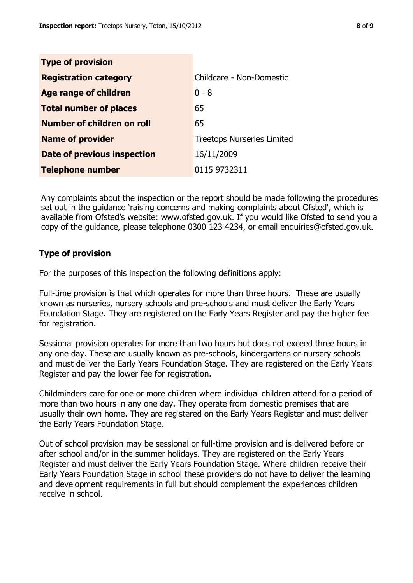| <b>Type of provision</b>      |                                   |
|-------------------------------|-----------------------------------|
| <b>Registration category</b>  | Childcare - Non-Domestic          |
| <b>Age range of children</b>  | $0 - 8$                           |
| <b>Total number of places</b> | 65                                |
| Number of children on roll    | 65                                |
| <b>Name of provider</b>       | <b>Treetops Nurseries Limited</b> |
| Date of previous inspection   | 16/11/2009                        |
| <b>Telephone number</b>       | 0115 9732311                      |

Any complaints about the inspection or the report should be made following the procedures set out in the guidance 'raising concerns and making complaints about Ofsted', which is available from Ofsted's website: www.ofsted.gov.uk. If you would like Ofsted to send you a copy of the guidance, please telephone 0300 123 4234, or email enquiries@ofsted.gov.uk.

#### **Type of provision**

For the purposes of this inspection the following definitions apply:

Full-time provision is that which operates for more than three hours. These are usually known as nurseries, nursery schools and pre-schools and must deliver the Early Years Foundation Stage. They are registered on the Early Years Register and pay the higher fee for registration.

Sessional provision operates for more than two hours but does not exceed three hours in any one day. These are usually known as pre-schools, kindergartens or nursery schools and must deliver the Early Years Foundation Stage. They are registered on the Early Years Register and pay the lower fee for registration.

Childminders care for one or more children where individual children attend for a period of more than two hours in any one day. They operate from domestic premises that are usually their own home. They are registered on the Early Years Register and must deliver the Early Years Foundation Stage.

Out of school provision may be sessional or full-time provision and is delivered before or after school and/or in the summer holidays. They are registered on the Early Years Register and must deliver the Early Years Foundation Stage. Where children receive their Early Years Foundation Stage in school these providers do not have to deliver the learning and development requirements in full but should complement the experiences children receive in school.